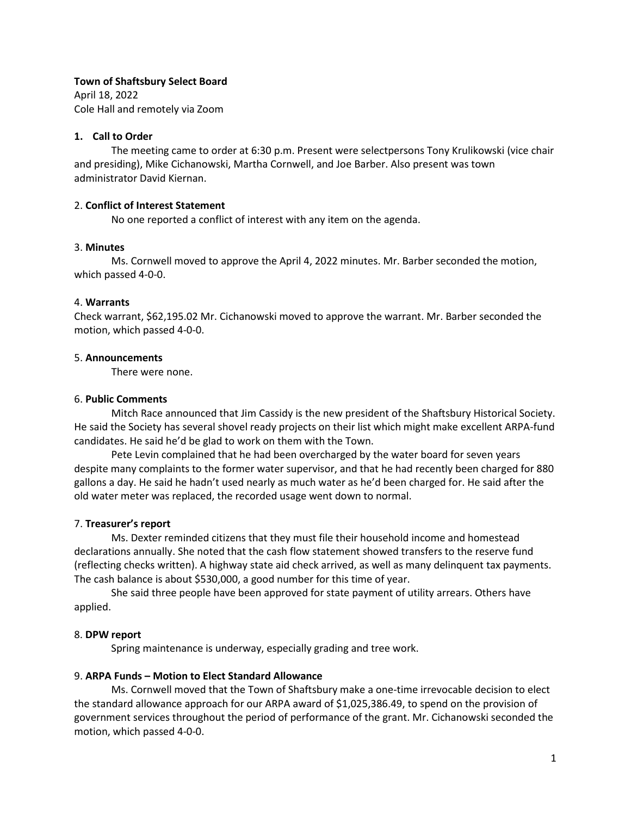### **Town of Shaftsbury Select Board**

April 18, 2022 Cole Hall and remotely via Zoom

## **1. Call to Order**

The meeting came to order at 6:30 p.m. Present were selectpersons Tony Krulikowski (vice chair and presiding), Mike Cichanowski, Martha Cornwell, and Joe Barber. Also present was town administrator David Kiernan.

### 2. **Conflict of Interest Statement**

No one reported a conflict of interest with any item on the agenda.

### 3. **Minutes**

Ms. Cornwell moved to approve the April 4, 2022 minutes. Mr. Barber seconded the motion, which passed 4-0-0.

### 4. **Warrants**

Check warrant, \$62,195.02 Mr. Cichanowski moved to approve the warrant. Mr. Barber seconded the motion, which passed 4-0-0.

### 5. **Announcements**

There were none.

### 6. **Public Comments**

Mitch Race announced that Jim Cassidy is the new president of the Shaftsbury Historical Society. He said the Society has several shovel ready projects on their list which might make excellent ARPA-fund candidates. He said he'd be glad to work on them with the Town.

Pete Levin complained that he had been overcharged by the water board for seven years despite many complaints to the former water supervisor, and that he had recently been charged for 880 gallons a day. He said he hadn't used nearly as much water as he'd been charged for. He said after the old water meter was replaced, the recorded usage went down to normal.

## 7. **Treasurer's report**

Ms. Dexter reminded citizens that they must file their household income and homestead declarations annually. She noted that the cash flow statement showed transfers to the reserve fund (reflecting checks written). A highway state aid check arrived, as well as many delinquent tax payments. The cash balance is about \$530,000, a good number for this time of year.

She said three people have been approved for state payment of utility arrears. Others have applied.

## 8. **DPW report**

Spring maintenance is underway, especially grading and tree work.

## 9. **ARPA Funds – Motion to Elect Standard Allowance**

Ms. Cornwell moved that the Town of Shaftsbury make a one-time irrevocable decision to elect the standard allowance approach for our ARPA award of \$1,025,386.49, to spend on the provision of government services throughout the period of performance of the grant. Mr. Cichanowski seconded the motion, which passed 4-0-0.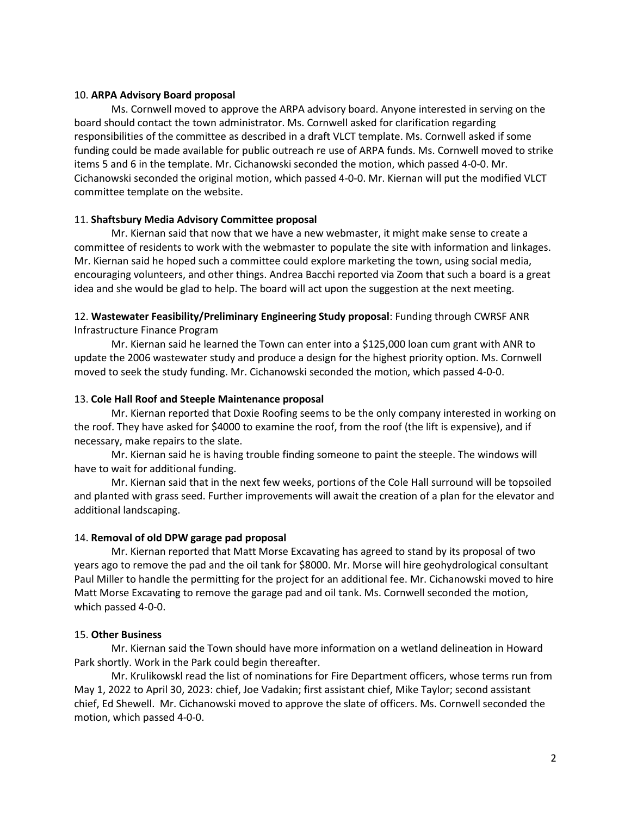### 10. **ARPA Advisory Board proposal**

Ms. Cornwell moved to approve the ARPA advisory board. Anyone interested in serving on the board should contact the town administrator. Ms. Cornwell asked for clarification regarding responsibilities of the committee as described in a draft VLCT template. Ms. Cornwell asked if some funding could be made available for public outreach re use of ARPA funds. Ms. Cornwell moved to strike items 5 and 6 in the template. Mr. Cichanowski seconded the motion, which passed 4-0-0. Mr. Cichanowski seconded the original motion, which passed 4-0-0. Mr. Kiernan will put the modified VLCT committee template on the website.

### 11. **Shaftsbury Media Advisory Committee proposal**

Mr. Kiernan said that now that we have a new webmaster, it might make sense to create a committee of residents to work with the webmaster to populate the site with information and linkages. Mr. Kiernan said he hoped such a committee could explore marketing the town, using social media, encouraging volunteers, and other things. Andrea Bacchi reported via Zoom that such a board is a great idea and she would be glad to help. The board will act upon the suggestion at the next meeting.

# 12. **Wastewater Feasibility/Preliminary Engineering Study proposal**: Funding through CWRSF ANR Infrastructure Finance Program

Mr. Kiernan said he learned the Town can enter into a \$125,000 loan cum grant with ANR to update the 2006 wastewater study and produce a design for the highest priority option. Ms. Cornwell moved to seek the study funding. Mr. Cichanowski seconded the motion, which passed 4-0-0.

### 13. **Cole Hall Roof and Steeple Maintenance proposal**

Mr. Kiernan reported that Doxie Roofing seems to be the only company interested in working on the roof. They have asked for \$4000 to examine the roof, from the roof (the lift is expensive), and if necessary, make repairs to the slate.

Mr. Kiernan said he is having trouble finding someone to paint the steeple. The windows will have to wait for additional funding.

Mr. Kiernan said that in the next few weeks, portions of the Cole Hall surround will be topsoiled and planted with grass seed. Further improvements will await the creation of a plan for the elevator and additional landscaping.

## 14. **Removal of old DPW garage pad proposal**

Mr. Kiernan reported that Matt Morse Excavating has agreed to stand by its proposal of two years ago to remove the pad and the oil tank for \$8000. Mr. Morse will hire geohydrological consultant Paul Miller to handle the permitting for the project for an additional fee. Mr. Cichanowski moved to hire Matt Morse Excavating to remove the garage pad and oil tank. Ms. Cornwell seconded the motion, which passed 4-0-0.

## 15. **Other Business**

Mr. Kiernan said the Town should have more information on a wetland delineation in Howard Park shortly. Work in the Park could begin thereafter.

Mr. Krulikowskl read the list of nominations for Fire Department officers, whose terms run from May 1, 2022 to April 30, 2023: chief, Joe Vadakin; first assistant chief, Mike Taylor; second assistant chief, Ed Shewell. Mr. Cichanowski moved to approve the slate of officers. Ms. Cornwell seconded the motion, which passed 4-0-0.